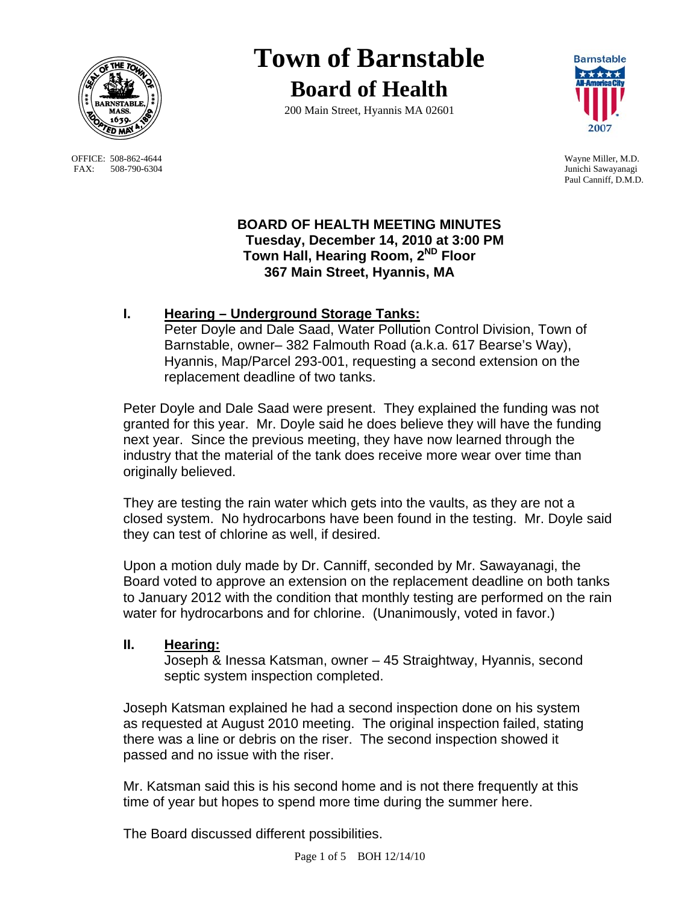

OFFICE: 508-862-4644 Wayne Miller, M.D.<br>
FAX: 508-790-6304 Junichi Sawayanagi FAX: 508-790-6304

# **Town of Barnstable Board of Health**

200 Main Street, Hyannis MA 02601



Paul Canniff, D.M.D.

## **BOARD OF HEALTH MEETING MINUTES Tuesday, December 14, 2010 at 3:00 PM Town Hall, Hearing Room, 2ND Floor 367 Main Street, Hyannis, MA**

# **I. Hearing – Underground Storage Tanks:**

Peter Doyle and Dale Saad, Water Pollution Control Division, Town of Barnstable, owner– 382 Falmouth Road (a.k.a. 617 Bearse's Way), Hyannis, Map/Parcel 293-001, requesting a second extension on the replacement deadline of two tanks.

Peter Doyle and Dale Saad were present. They explained the funding was not granted for this year. Mr. Doyle said he does believe they will have the funding next year. Since the previous meeting, they have now learned through the industry that the material of the tank does receive more wear over time than originally believed.

They are testing the rain water which gets into the vaults, as they are not a closed system. No hydrocarbons have been found in the testing. Mr. Doyle said they can test of chlorine as well, if desired.

Upon a motion duly made by Dr. Canniff, seconded by Mr. Sawayanagi, the Board voted to approve an extension on the replacement deadline on both tanks to January 2012 with the condition that monthly testing are performed on the rain water for hydrocarbons and for chlorine. (Unanimously, voted in favor.)

# **II. Hearing:**

Joseph & Inessa Katsman, owner – 45 Straightway, Hyannis, second septic system inspection completed.

Joseph Katsman explained he had a second inspection done on his system as requested at August 2010 meeting. The original inspection failed, stating there was a line or debris on the riser. The second inspection showed it passed and no issue with the riser.

Mr. Katsman said this is his second home and is not there frequently at this time of year but hopes to spend more time during the summer here.

The Board discussed different possibilities.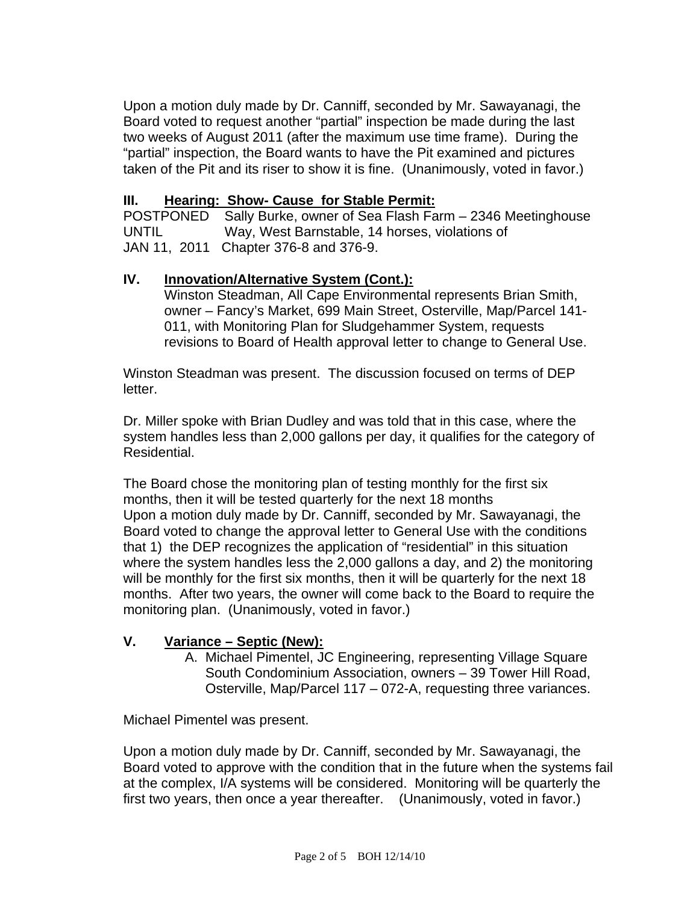Upon a motion duly made by Dr. Canniff, seconded by Mr. Sawayanagi, the Board voted to request another "partial" inspection be made during the last two weeks of August 2011 (after the maximum use time frame). During the "partial" inspection, the Board wants to have the Pit examined and pictures taken of the Pit and its riser to show it is fine. (Unanimously, voted in favor.)

## **III. Hearing: Show- Cause for Stable Permit:**

POSTPONED Sally Burke, owner of Sea Flash Farm – 2346 Meetinghouse UNTIL Way, West Barnstable, 14 horses, violations of JAN 11, 2011 Chapter 376-8 and 376-9.

#### **IV. Innovation/Alternative System (Cont.):**

 Winston Steadman, All Cape Environmental represents Brian Smith, owner – Fancy's Market, 699 Main Street, Osterville, Map/Parcel 141- 011, with Monitoring Plan for Sludgehammer System, requests revisions to Board of Health approval letter to change to General Use.

Winston Steadman was present. The discussion focused on terms of DEP letter.

Dr. Miller spoke with Brian Dudley and was told that in this case, where the system handles less than 2,000 gallons per day, it qualifies for the category of Residential.

The Board chose the monitoring plan of testing monthly for the first six months, then it will be tested quarterly for the next 18 months Upon a motion duly made by Dr. Canniff, seconded by Mr. Sawayanagi, the Board voted to change the approval letter to General Use with the conditions that 1) the DEP recognizes the application of "residential" in this situation where the system handles less the 2,000 gallons a day, and 2) the monitoring will be monthly for the first six months, then it will be quarterly for the next 18 months. After two years, the owner will come back to the Board to require the monitoring plan. (Unanimously, voted in favor.)

## **V. Variance – Septic (New):**

A. Michael Pimentel, JC Engineering, representing Village Square South Condominium Association, owners – 39 Tower Hill Road, Osterville, Map/Parcel 117 – 072-A, requesting three variances.

Michael Pimentel was present.

Upon a motion duly made by Dr. Canniff, seconded by Mr. Sawayanagi, the Board voted to approve with the condition that in the future when the systems fail at the complex, I/A systems will be considered. Monitoring will be quarterly the first two years, then once a year thereafter. (Unanimously, voted in favor.)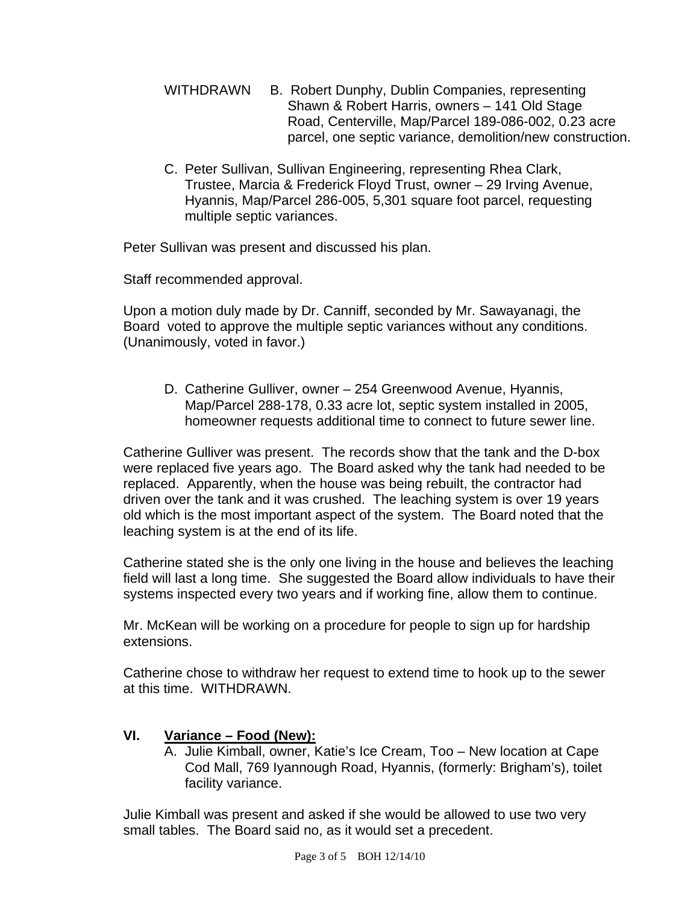- WITHDRAWN B. Robert Dunphy, Dublin Companies, representing Shawn & Robert Harris, owners – 141 Old Stage Road, Centerville, Map/Parcel 189-086-002, 0.23 acre parcel, one septic variance, demolition/new construction.
- C. Peter Sullivan, Sullivan Engineering, representing Rhea Clark, Trustee, Marcia & Frederick Floyd Trust, owner – 29 Irving Avenue, Hyannis, Map/Parcel 286-005, 5,301 square foot parcel, requesting multiple septic variances.

Peter Sullivan was present and discussed his plan.

Staff recommended approval.

Upon a motion duly made by Dr. Canniff, seconded by Mr. Sawayanagi, the Board voted to approve the multiple septic variances without any conditions. (Unanimously, voted in favor.)

D. Catherine Gulliver, owner – 254 Greenwood Avenue, Hyannis, Map/Parcel 288-178, 0.33 acre lot, septic system installed in 2005, homeowner requests additional time to connect to future sewer line.

Catherine Gulliver was present. The records show that the tank and the D-box were replaced five years ago. The Board asked why the tank had needed to be replaced. Apparently, when the house was being rebuilt, the contractor had driven over the tank and it was crushed. The leaching system is over 19 years old which is the most important aspect of the system. The Board noted that the leaching system is at the end of its life.

Catherine stated she is the only one living in the house and believes the leaching field will last a long time. She suggested the Board allow individuals to have their systems inspected every two years and if working fine, allow them to continue.

Mr. McKean will be working on a procedure for people to sign up for hardship extensions.

Catherine chose to withdraw her request to extend time to hook up to the sewer at this time. WITHDRAWN.

# **VI. Variance – Food (New):**

A. Julie Kimball, owner, Katie's Ice Cream, Too – New location at Cape Cod Mall, 769 Iyannough Road, Hyannis, (formerly: Brigham's), toilet facility variance.

Julie Kimball was present and asked if she would be allowed to use two very small tables. The Board said no, as it would set a precedent.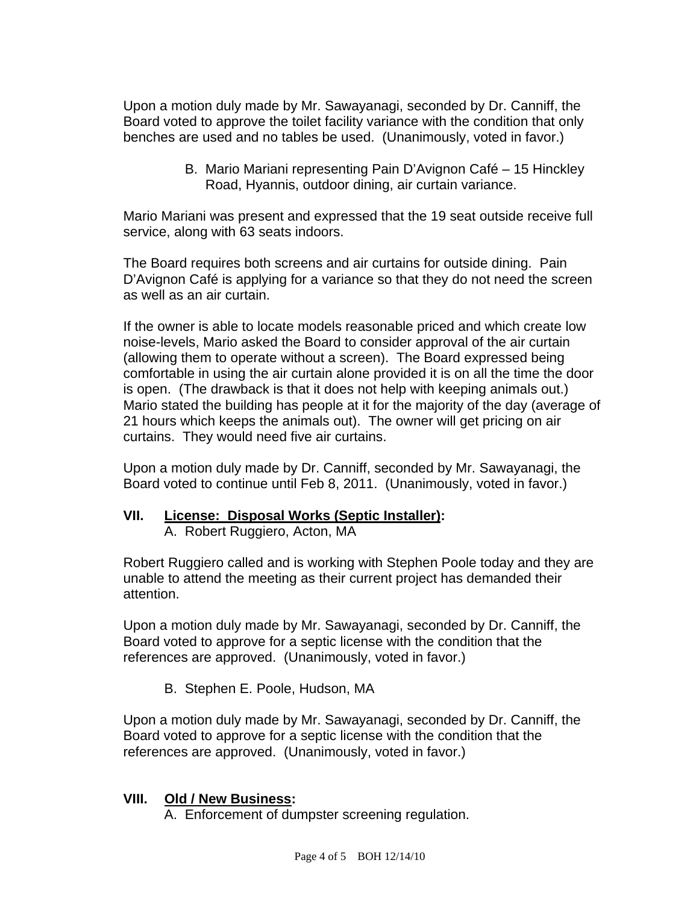Upon a motion duly made by Mr. Sawayanagi, seconded by Dr. Canniff, the Board voted to approve the toilet facility variance with the condition that only benches are used and no tables be used. (Unanimously, voted in favor.)

> B. Mario Mariani representing Pain D'Avignon Café – 15 Hinckley Road, Hyannis, outdoor dining, air curtain variance.

Mario Mariani was present and expressed that the 19 seat outside receive full service, along with 63 seats indoors.

The Board requires both screens and air curtains for outside dining. Pain D'Avignon Café is applying for a variance so that they do not need the screen as well as an air curtain.

If the owner is able to locate models reasonable priced and which create low noise-levels, Mario asked the Board to consider approval of the air curtain (allowing them to operate without a screen). The Board expressed being comfortable in using the air curtain alone provided it is on all the time the door is open. (The drawback is that it does not help with keeping animals out.) Mario stated the building has people at it for the majority of the day (average of 21 hours which keeps the animals out). The owner will get pricing on air curtains. They would need five air curtains.

Upon a motion duly made by Dr. Canniff, seconded by Mr. Sawayanagi, the Board voted to continue until Feb 8, 2011. (Unanimously, voted in favor.)

## **VII. License: Disposal Works (Septic Installer):**

A. Robert Ruggiero, Acton, MA

Robert Ruggiero called and is working with Stephen Poole today and they are unable to attend the meeting as their current project has demanded their attention.

Upon a motion duly made by Mr. Sawayanagi, seconded by Dr. Canniff, the Board voted to approve for a septic license with the condition that the references are approved. (Unanimously, voted in favor.)

B. Stephen E. Poole, Hudson, MA

Upon a motion duly made by Mr. Sawayanagi, seconded by Dr. Canniff, the Board voted to approve for a septic license with the condition that the references are approved. (Unanimously, voted in favor.)

## **VIII. Old / New Business:**

A. Enforcement of dumpster screening regulation.